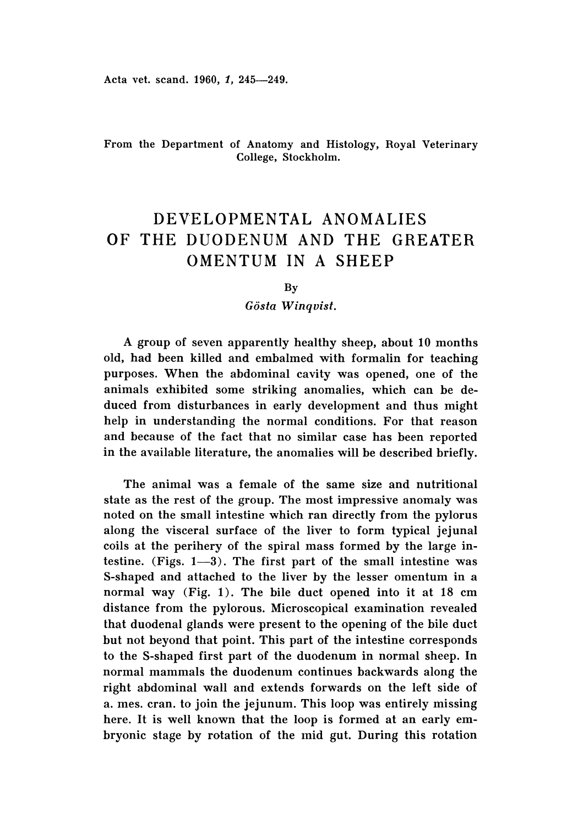Acta vet. scand. 1960, 1, 245-249.

# From the Department of Anatomy and Histology, Royal Veterinary College, Stockholm.

# DEVELOPMENTAL ANOMALIES OF THE DUODENUM AND THE GREATER OMENTUM IN A SHEEP

**By** 

*Gosta Winquist.*

A group of seven apparently healthy sheep, about 10 months old, had been killed and embalmed with formalin for teaching purposes. When the abdominal cavity was opened, one of the animals exhibited some striking anomalies, which can be deduced from disturbances in early development and thus might help in understanding the normal conditions. For that reason and because of the fact that no similar case has been reported in the available literature, the anomalies will be described briefly.

The animal was a female of the same size and nutritional state as the rest of the group. The most impressive anomaly was noted on the small intestine which ran directly from the pylorus along the visceral surface of the liver to form typical jejunal coils at the perihery of the spiral mass formed by the large intestine. (Figs.  $1-3$ ). The first part of the small intestine was S-shaped and attached to the liver by the lesser omentum in a normal way (Fig. 1). The bile duct opened into it at 18 cm distance from the pylorous. Microscopical examination revealed that duodenal glands were present to the opening of the bile duct but not beyond that point. This part of the intestine corresponds to the S-shaped first part of the duodenum in normal sheep. In normal mammals the duodenum continues backwards along the right abdominal wall and extends forwards on the left side of a. mes. cran. to join the jejunum. This loop was entirely missing here. It is well known that the loop is formed at an early embryonic stage by rotation of the mid gut. During this rotation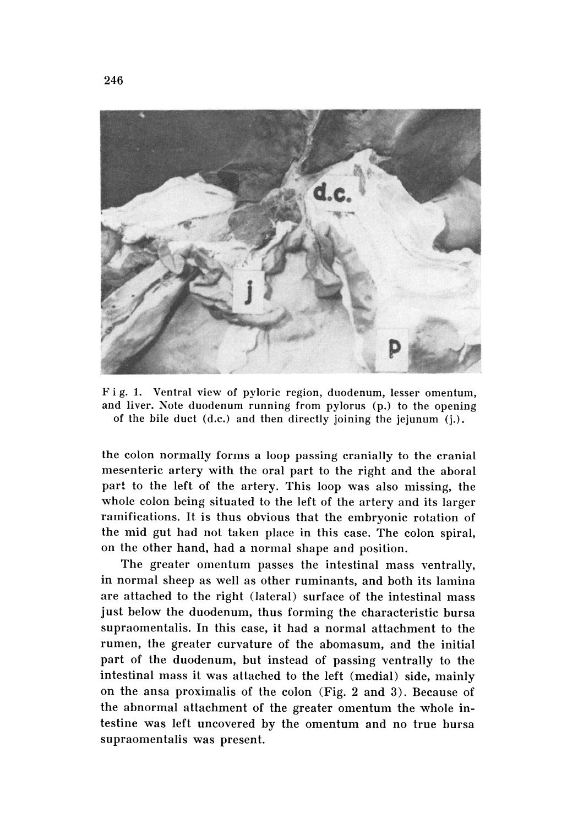

Fig. 1. Ventral view of pyloric region, duodenum, lesser omentum, and liver. Note duodenum running from pylorus (p.) to the opening of the bile duct (d.c.) and then directly joining the jejunum (j.) ,

the colon normally forms a loop passing cranially to the cranial mesenteric artery with the oral part to the right and the aboral part to the left of the artery. This loop was also missing, the whole colon being situated to the left of the artery and its larger ramifications. It is thus obvious that the embryonic rotation of the mid gut had not taken place in this case. The colon spiral, on the other hand, had a normal shape and position.

The greater omentum passes the intestinal mass ventrally, in normal sheep as well as other ruminants, and both its lamina are attached to the right (lateral) surface of the intestinal mass just below the duodenum, thus forming the characteristic bursa supraomentalis. In this case, it had a normal attachment to the rumen, the greater curvature of the abomasum, and the initial part of the duodenum, but instead of passing ventrally to the intestinal mass it was attached to the left (medial) side, mainly on the ansa proximalis of the colon (Fig. 2 and 3). Because of the abnormal attachment of the greater omentum the whole in testine was left uncovered by the omentum and no true bursa supraomentalis was present.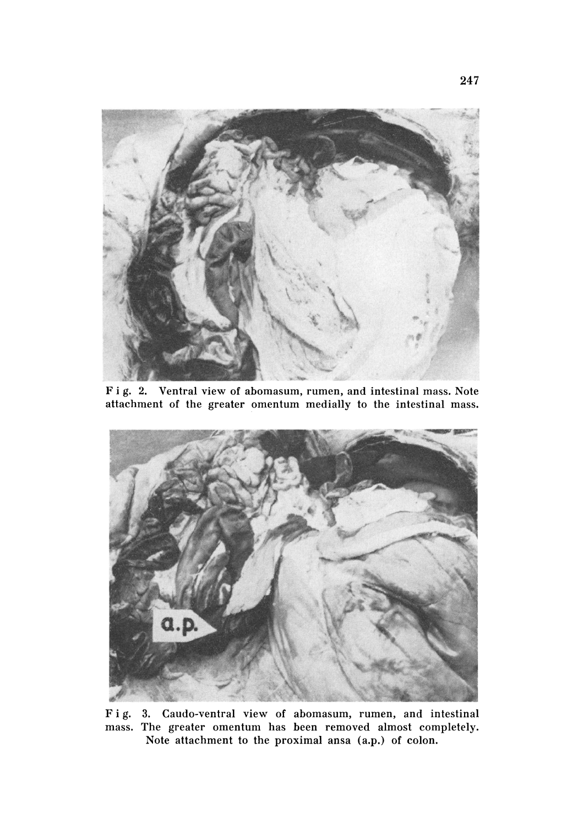

F ig. 2. Ventral view of abomasum, rumen, and intestinal mass. Note attachment of the greater omentum medially to the intestinal mass.



Fig. 3. Cando-ventral view of abomasum, rumen, and intestinal mass. The greater omentum has been removed almost completely. Note attachment to the proximal ansa (a.p.) of colon.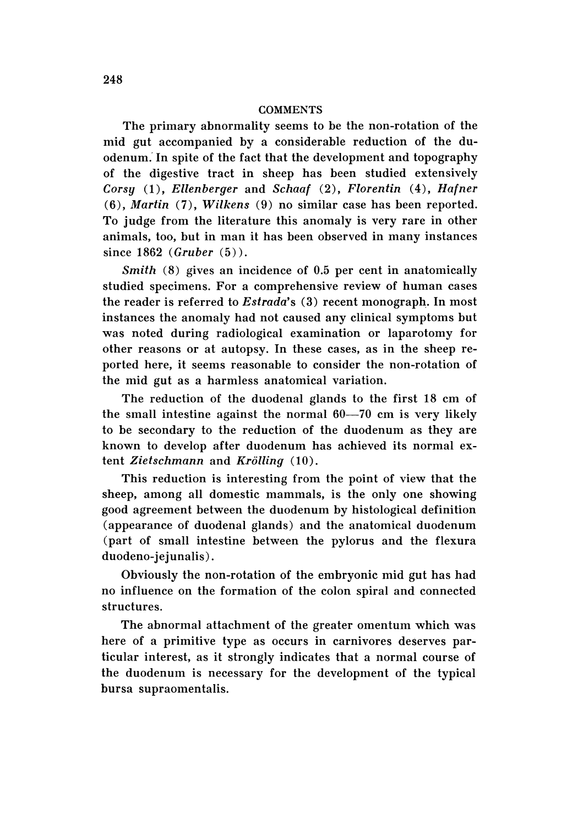#### **COMMENTS**

The primary abnormality seems to be the non-rotation of the mid gut accompanied by a considerable reduction of the duodenum: In spite of the fact that the development and topography of the digestive tract in sheep has been studied extensively *Corsy* (1), *Ellenberger* and *Schaaf* (2), *Florentin* (4), *Hafner (6), Martin* (7), *Wilkens* (9) no similar case has been reported. To judge from the literature this anomaly is very rare in other animals, too, but in man it has been observed in many instances since  $1862$  *(Gruber*  $(5)$ ).

*Smith* (8) gives an incidence of 0.5 per cent in anatomically studied specimens. For a comprehensive review of human cases the reader is referred to *Estrada's* (3) recent monograph. In most instances the anomaly had not caused any clinical symptoms but was noted during radiological examination or laparotomy for other reasons or at autopsy. In these cases, as in the sheep reported here, it seems reasonable to consider the non-rotation of the mid gut as a harmless anatomical variation.

The reduction of the duodenal glands to the first 18 em of the small intestine against the normal  $60-70$  cm is very likely to be secondary to the reduction of the duodenum as they are known to develop after duodenum has achieved its normal extent *Zietschmann* and *Krollinq (10) .*

This reduction is interesting from the point of view that the sheep, among all domestic mammals, is the only one showing good agreement between the duodenum by histological definition (appearance of duodenal glands) and the anatomical duodenum (part of small intestine between the pylorus and the flexura duodeno-jejunalis) .

Obviously the non-rotation of the embryonic mid gut has had no influence on the formation of the colon spiral and connected structures.

The abnormal attachment of the greater omentum which was here of a primitive type as occurs in carnivores deserves particular interest, as it strongly indicates that a normal course of the duodenum is necessary for the development of the typical bursa supraomentalis.